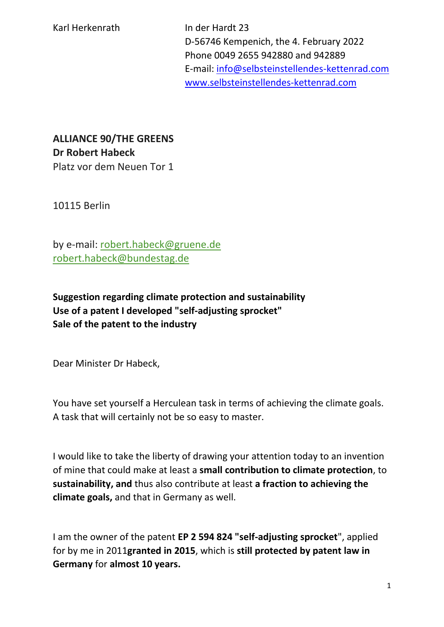D-56746 Kempenich, the 4. February 2022 Phone 0049 2655 942880 and 942889 E-mail: [info@selbsteinstellendes-kettenrad.com](mailto:info@selbsteinstellendes-kettenrad.com) [www.selbsteinstellendes-kettenrad.com](http://www.selbsteinstellendes-kettenrad.com/)

**ALLIANCE 90/THE GREENS Dr Robert Habeck** Platz vor dem Neuen Tor 1

10115 Berlin

by e-mail: [robert.habeck@gruene.de](mailto:robert.habeck@gruene.de) [robert.habeck@bundestag.de](mailto:robert.habeck@bundestag.de)

**Suggestion regarding climate protection and sustainability Use of a patent I developed "self-adjusting sprocket" Sale of the patent to the industry**

Dear Minister Dr Habeck,

You have set yourself a Herculean task in terms of achieving the climate goals. A task that will certainly not be so easy to master.

I would like to take the liberty of drawing your attention today to an invention of mine that could make at least a **small contribution to climate protection**, to **sustainability, and** thus also contribute at least **a fraction to achieving the climate goals,** and that in Germany as well.

I am the owner of the patent **EP 2 594 824 "self-adjusting sprocket**", applied for by me in 2011**granted in 2015**, which is **still protected by patent law in Germany** for **almost 10 years.**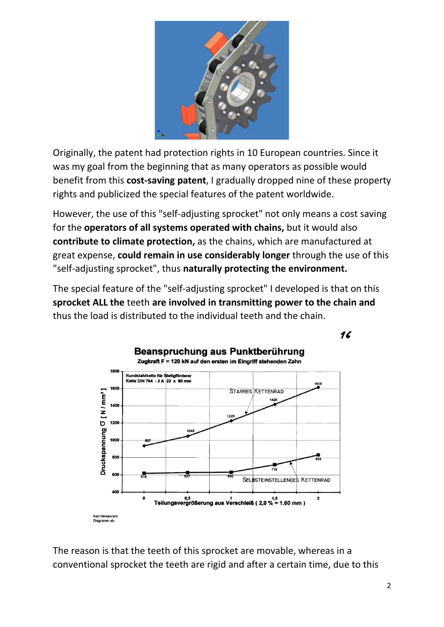

Originally, the patent had protection rights in 10 European countries. Since it was my goal from the beginning that as many operators as possible would benefit from this **cost-saving patent**, I gradually dropped nine of these property rights and publicized the special features of the patent worldwide.

However, the use of this "self-adjusting sprocket" not only means a cost saving for the **operators of all systems operated with chains,** but it would also **contribute to climate protection,** as the chains, which are manufactured at great expense, **could remain in use considerably longer** through the use of this "self-adjusting sprocket", thus **naturally protecting the environment.** 

The special feature of the "self-adjusting sprocket" I developed is that on this **sprocket ALL the** teeth **are involved in transmitting power to the chain and**  thus the load is distributed to the individual teeth and the chain.





The reason is that the teeth of this sprocket are movable, whereas in a conventional sprocket the teeth are rigid and after a certain time, due to this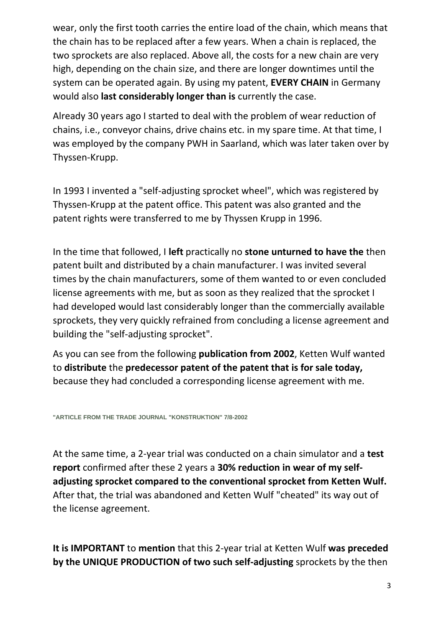wear, only the first tooth carries the entire load of the chain, which means that the chain has to be replaced after a few years. When a chain is replaced, the two sprockets are also replaced. Above all, the costs for a new chain are very high, depending on the chain size, and there are longer downtimes until the system can be operated again. By using my patent, **EVERY CHAIN** in Germany would also **last considerably longer than is** currently the case.

Already 30 years ago I started to deal with the problem of wear reduction of chains, i.e., conveyor chains, drive chains etc. in my spare time. At that time, I was employed by the company PWH in Saarland, which was later taken over by Thyssen-Krupp.

In 1993 I invented a "self-adjusting sprocket wheel", which was registered by Thyssen-Krupp at the patent office. This patent was also granted and the patent rights were transferred to me by Thyssen Krupp in 1996.

In the time that followed, I **left** practically no **stone unturned to have the** then patent built and distributed by a chain manufacturer. I was invited several times by the chain manufacturers, some of them wanted to or even concluded license agreements with me, but as soon as they realized that the sprocket I had developed would last considerably longer than the commercially available sprockets, they very quickly refrained from concluding a license agreement and building the "self-adjusting sprocket".

As you can see from the following **publication from 2002**, Ketten Wulf wanted to **distribute** the **predecessor patent of the patent that is for sale today,**  because they had concluded a corresponding license agreement with me.

**["ARTICLE FROM THE TRADE JOURNAL "KONSTRUKTION" 7/8-2002](https://www.selbsteinstellendes-kettenrad.com/downloads/firma-kettenwulf-betriebs-gmbh-veroeff_3.pdf)**

At the same time, a 2-year trial was conducted on a chain simulator and a **test report** confirmed after these 2 years a **30% reduction in wear of my selfadjusting sprocket compared to the conventional sprocket from Ketten Wulf.**  After that, the trial was abandoned and Ketten Wulf "cheated" its way out of the license agreement.

**It is IMPORTANT** to **mention** that this 2-year trial at Ketten Wulf **was preceded by the UNIQUE PRODUCTION of two such self-adjusting** sprockets by the then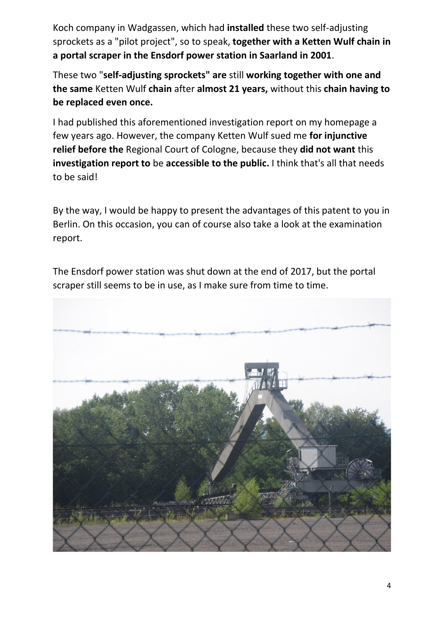Koch company in Wadgassen, which had **installed** these two self-adjusting sprockets as a "pilot project", so to speak, **together with a Ketten Wulf chain in a portal scraper in the Ensdorf power station in Saarland in 2001**.

These two "**self-adjusting sprockets" are** still **working together with one and the same** Ketten Wulf **chain** after **almost 21 years,** without this **chain having to be replaced even once.**

I had published this aforementioned investigation report on my homepage a few years ago. However, the company Ketten Wulf sued me **for injunctive relief before the** Regional Court of Cologne, because they **did not want** this **investigation report to** be **accessible to the public.** I think that's all that needs to be said!

By the way, I would be happy to present the advantages of this patent to you in Berlin. On this occasion, you can of course also take a look at the examination report.



The Ensdorf power station was shut down at the end of 2017, but the portal scraper still seems to be in use, as I make sure from time to time.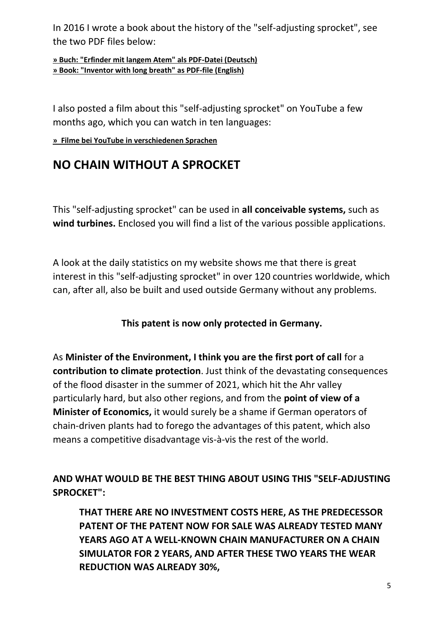In 2016 I wrote a book about the history of the "self-adjusting sprocket", see the two PDF files below:

**[» Buch: "Erfinder mit langem Atem" als PDF-Datei \(Deutsch\)](https://selbsteinstellendes-kettenrad.com/downloads/Erfinder-mit-langem-Atem---ebook-mit-Rueckseite.pdf) [» Book: "Inventor with long breath" as PDF-file \(English\)](https://selbsteinstellendes-kettenrad.com/downloads/Erfinder-mit-langem-Atem---Englisch.pdf)**

I also posted a film about this "self-adjusting sprocket" on YouTube a few months ago, which you can watch in ten languages:

**[» Filme bei YouTube in verschiedenen Sprachen](https://www.selbsteinstellendes-kettenrad.com/yt.php)**

# **NO CHAIN WITHOUT A SPROCKET**

This "self-adjusting sprocket" can be used in **all conceivable systems,** such as **wind turbines.** Enclosed you will find a list of the various possible applications.

A look at the daily statistics on my website shows me that there is great interest in this "self-adjusting sprocket" in over 120 countries worldwide, which can, after all, also be built and used outside Germany without any problems.

#### **This patent is now only protected in Germany.**

As **Minister of the Environment, I think you are the first port of call** for a **contribution to climate protection**. Just think of the devastating consequences of the flood disaster in the summer of 2021, which hit the Ahr valley particularly hard, but also other regions, and from the **point of view of a Minister of Economics,** it would surely be a shame if German operators of chain-driven plants had to forego the advantages of this patent, which also means a competitive disadvantage vis-à-vis the rest of the world.

**AND WHAT WOULD BE THE BEST THING ABOUT USING THIS "SELF-ADJUSTING SPROCKET":**

**THAT THERE ARE NO INVESTMENT COSTS HERE, AS THE PREDECESSOR PATENT OF THE PATENT NOW FOR SALE WAS ALREADY TESTED MANY YEARS AGO AT A WELL-KNOWN CHAIN MANUFACTURER ON A CHAIN SIMULATOR FOR 2 YEARS, AND AFTER THESE TWO YEARS THE WEAR REDUCTION WAS ALREADY 30%,**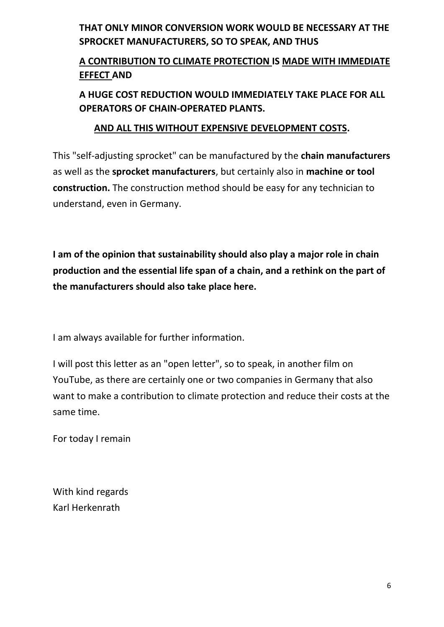## **THAT ONLY MINOR CONVERSION WORK WOULD BE NECESSARY AT THE SPROCKET MANUFACTURERS, SO TO SPEAK, AND THUS**

## **A CONTRIBUTION TO CLIMATE PROTECTION IS MADE WITH IMMEDIATE EFFECT AND**

## **A HUGE COST REDUCTION WOULD IMMEDIATELY TAKE PLACE FOR ALL OPERATORS OF CHAIN-OPERATED PLANTS.**

#### **AND ALL THIS WITHOUT EXPENSIVE DEVELOPMENT COSTS.**

This "self-adjusting sprocket" can be manufactured by the **chain manufacturers**  as well as the **sprocket manufacturers**, but certainly also in **machine or tool construction.** The construction method should be easy for any technician to understand, even in Germany.

**I am of the opinion that sustainability should also play a major role in chain production and the essential life span of a chain, and a rethink on the part of the manufacturers should also take place here.**

I am always available for further information.

I will post this letter as an "open letter", so to speak, in another film on YouTube, as there are certainly one or two companies in Germany that also want to make a contribution to climate protection and reduce their costs at the same time.

For today I remain

With kind regards Karl Herkenrath